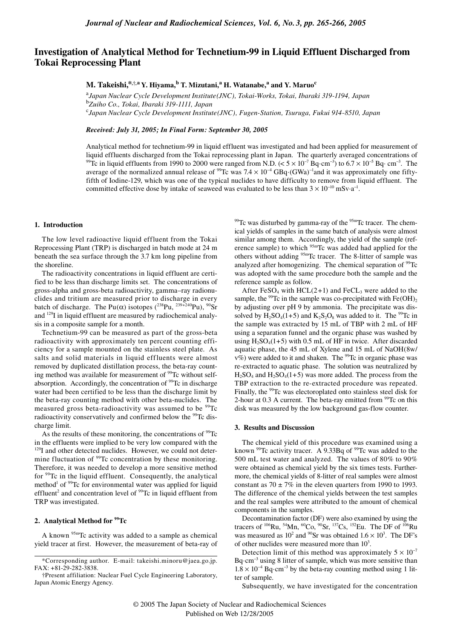# **Investigation of Analytical Method for Technetium-99 in Liquid Effluent Discharged from Tokai Reprocessing Plant**

**M. Takeishi,**\*,<sup>†</sup>,<sup>a</sup> Y. Hiyama,<sup>b</sup> T. Mizutani,<sup>a</sup> H. Watanabe,<sup>a</sup> and Y. Maruo<sup>c</sup>

a *Japan Nuclear Cycle Development Institute(JNC), Tokai-Works, Tokai, Ibaraki 319-1194, Japan*  b *Zuiho Co., Tokai, Ibaraki 319-1111, Japan* c *Japan Nuclear Cycle Development Institute(JNC), Fugen-Station, Tsuruga, Fukui 914-8510, Japan*

*Received: July 31, 2005; In Final Form: September 30, 2005*

Analytical method for technetium-99 in liquid effluent was investigated and had been applied for measurement of liquid effluents discharged from the Tokai reprocessing plant in Japan. The quarterly averaged concentrations of <sup>99</sup>Tc in liquid effluents from 1990 to 2000 were ranged from N.D. (<  $5 \times 10^{-7}$  Bq·cm<sup>-3</sup>) to  $6.7 \times 10^{-5}$  Bq·cm<sup>-3</sup>. The average of the normalized annual release of <sup>99</sup>Tc was  $7.4 \times 10^{-4}$  GBq·(GWa)<sup>-1</sup> and it was approximately one fiftyfifth of Iodine-129, which was one of the typical nuclides to have difficulty to remove from liquid effluent. The committed effective dose by intake of seaweed was evaluated to be less than  $3 \times 10^{-10}$  mSv·a<sup>-1</sup>.

#### **1. Introduction**

The low level radioactive liquid effluent from the Tokai Reprocessing Plant (TRP) is discharged in batch mode at 24 m beneath the sea surface through the 3.7 km long pipeline from the shoreline.

The radioactivity concentrations in liquid effluent are certified to be less than discharge limits set. The concentrations of gross-alpha and gross-beta radioactivity, gamma–ray radionuclides and tritium are measured prior to discharge in every batch of discharge. The Pu( $\alpha$ ) isotopes (<sup>238</sup>Pu, <sup>239+240</sup>Pu), <sup>90</sup>Sr and 129I in liquid effluent are measured by radiochemical analysis in a composite sample for a month.

Technetium-99 can be measured as part of the gross-beta radioactivity with approximately ten percent counting efficiency for a sample mounted on the stainless steel plate. As salts and solid materials in liquid effluents were almost removed by duplicated distillation process, the beta-ray counting method was available for measurement of <sup>99</sup>Tc without selfabsorption. Accordingly, the concentration of <sup>99</sup>Tc in discharge water had been certified to be less than the discharge limit by the beta-ray counting method with other beta-nuclides. The measured gross beta-radioactivity was assumed to be <sup>99</sup>Tc radioactivity conservatively and confirmed below the <sup>99</sup>Tc discharge limit.

As the results of these monitoring, the concentrations of  $99Tc$ in the effluents were implied to be very low compared with the <sup>129</sup>I and other detected nuclides. However, we could not determine fluctuation of <sup>99</sup>Tc concentration by these monitoring. Therefore, it was needed to develop a more sensitive method for 99Tc in the liquid effluent. Consequently, the analytical method<sup>1</sup> of <sup>99</sup>Tc for environmental water was applied for liquid effluent<sup>2</sup> and concentration level of  $99$ Tc in liquid effluent from TRP was investigated.

# **2. Analytical Method for 99Tc**

A known 95mTc activity was added to a sample as chemical yield tracer at first. However, the measurement of beta-ray of

 $99$ Tc was disturbed by gamma-ray of the  $95$ <sup>m</sup>Tc tracer. The chemical yields of samples in the same batch of analysis were almost similar among them. Accordingly, the yield of the sample (reference sample) to which <sup>95m</sup>Tc was added had applied for the others without adding <sup>95m</sup>Tc tracer. The 8-litter of sample was analyzed after homogenizing. The chemical separation of <sup>99</sup>Tc was adopted with the same procedure both the sample and the reference sample as follow.

After FeSO<sub>4</sub> with HCL $(2+1)$  and FeCL<sub>3</sub> were added to the sample, the <sup>99</sup>Tc in the sample was co-precipitated with  $Fe(OH)<sub>2</sub>$ by adjusting over pH 9 by ammonia. The precipitate was dissolved by  $H_2SO_4(1+5)$  and  $K_2S_2O_8$  was added to it. The <sup>99</sup>Tc in the sample was extracted by 15 mL of TBP with 2 mL of HF using a separation funnel and the organic phase was washed by using  $H_2SO_4(1+5)$  with 0.5 mL of HF in twice. After discarded aquatic phase, the 45 mL of Xylene and 15 mL of NaOH(8w/  $v\%$ ) were added to it and shaken. The <sup>99</sup>Tc in organic phase was re-extracted to aquatic phase. The solution was neutralized by  $H_2SO_4$  and  $H_2SO_4(1+5)$  was more added. The process from the TBP extraction to the re-extracted procedure was repeated. Finally, the <sup>99</sup>Tc was electoroplated onto stainless steel disk for 2-hour at  $0.3$  A current. The beta-ray emitted from  $99$ Tc on this disk was measured by the low background gas-flow counter.

### **3. Results and Discussion**

The chemical yield of this procedure was examined using a known  $99$ Tc activity tracer. A 9.33Bq of  $99$ Tc was added to the 500 mL test water and analyzed. The values of 80% to 90% were obtained as chemical yield by the six times tests. Furthermore, the chemical yields of 8-litter of real samples were almost constant as  $70 \pm 7\%$  in the eleven quarters from 1990 to 1993. The difference of the chemical yields between the test samples and the real samples were attributed to the amount of chemical components in the samples.

Decontamination factor (DF) were also examined by using the tracers of 106Ru, 54Mn, 60Co, 90Sr, 137Cs, 152Eu. The DF of 106Ru was measured as  $10^2$  and <sup>90</sup>Sr was obtained  $1.6 \times 10^3$ . The DF's of other nuclides were measured more than  $10<sup>3</sup>$ .

Detection limit of this method was approximately  $5 \times 10^{-7}$ Bq·cm<sup>-3</sup> using 8 litter of sample, which was more sensitive than  $1.8 \times 10^{-4}$  Bq⋅cm<sup>-3</sup> by the beta-ray counting method using 1 litter of sample.

Subsequently, we have investigated for the concentration

<sup>\*</sup>Corresponding author. E-mail: takeishi.minoru@jaea.go.jp. FAX: +81-29-282-3838.

<sup>†</sup>Present affiliation: Nuclear Fuel Cycle Engineering Laboratory, Japan Atomic Energy Agency.